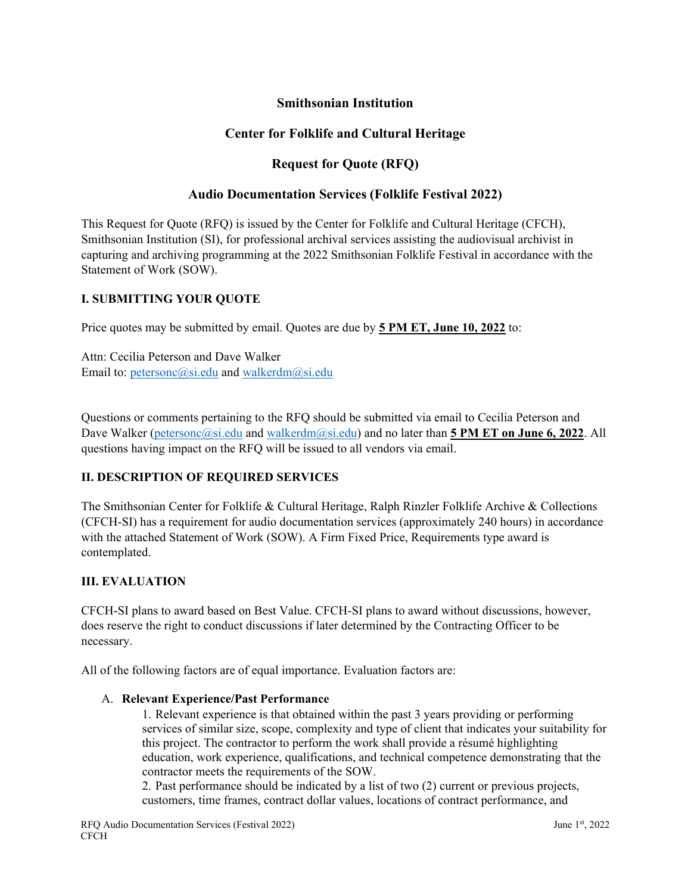## **Smithsonian Institution**

## **Center for Folklife and Cultural Heritage**

# **Request for Quote (RFQ)**

### **Audio Documentation Services (Folklife Festival 2022)**

This Request for Quote (RFQ) is issued by the Center for Folklife and Cultural Heritage (CFCH), Smithsonian Institution (SI), for professional archival services assisting the audiovisual archivist in capturing and archiving programming at the 2022 Smithsonian Folklife Festival in accordance with the Statement of Work (SOW).

#### **I. SUBMITTING YOUR QUOTE**

Price quotes may be submitted by email. Quotes are due by **5 PM ET, June 10, 2022** to:

Attn: Cecilia Peterson and Dave Walker Email to: [petersonc@si.edu](mailto:petersonc@si.edu) and [walkerdm@si.edu](mailto:walkerdm@si.edu)

Questions or comments pertaining to the RFQ should be submitted via email to Cecilia Peterson and Dave Walker [\(petersonc@si.edu](mailto:petersonc@si.edu) and [walkerdm@si.edu\)](mailto:walkerdm@si.edu) and no later than **5 PM ET on June 6, 2022**. All questions having impact on the RFQ will be issued to all vendors via email.

### **II. DESCRIPTION OF REQUIRED SERVICES**

The Smithsonian Center for Folklife & Cultural Heritage, Ralph Rinzler Folklife Archive & Collections (CFCH-SI) has a requirement for audio documentation services (approximately 240 hours) in accordance with the attached Statement of Work (SOW). A Firm Fixed Price, Requirements type award is contemplated.

#### **III. EVALUATION**

CFCH-SI plans to award based on Best Value. CFCH-SI plans to award without discussions, however, does reserve the right to conduct discussions if later determined by the Contracting Officer to be necessary.

All of the following factors are of equal importance. Evaluation factors are:

#### A. **Relevant Experience/Past Performance**

1. Relevant experience is that obtained within the past 3 years providing or performing services of similar size, scope, complexity and type of client that indicates your suitability for this project. The contractor to perform the work shall provide a résumé highlighting education, work experience, qualifications, and technical competence demonstrating that the contractor meets the requirements of the SOW.

2. Past performance should be indicated by a list of two (2) current or previous projects, customers, time frames, contract dollar values, locations of contract performance, and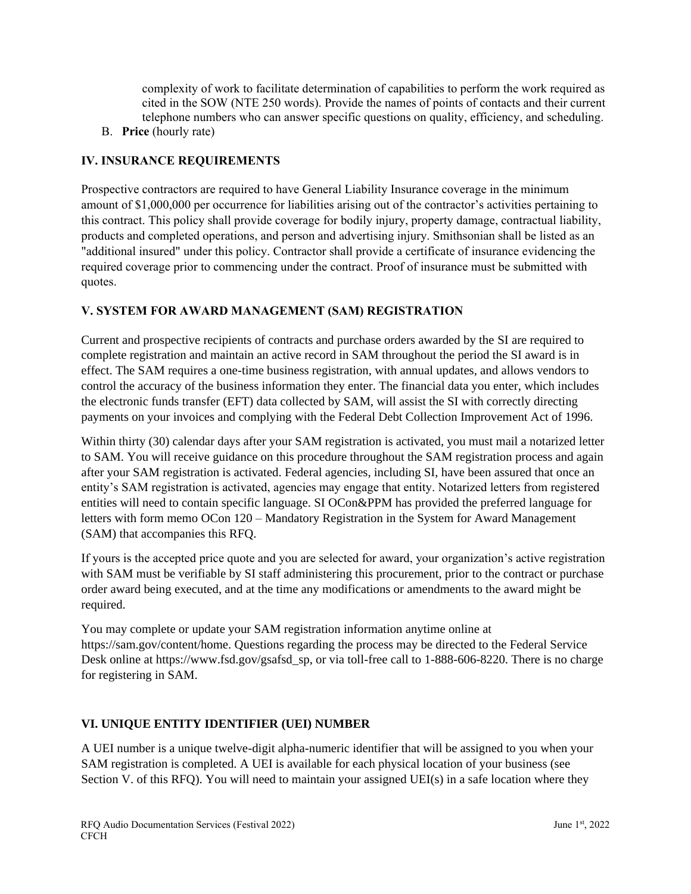complexity of work to facilitate determination of capabilities to perform the work required as cited in the SOW (NTE 250 words). Provide the names of points of contacts and their current telephone numbers who can answer specific questions on quality, efficiency, and scheduling.

B. **Price** (hourly rate)

# **IV. INSURANCE REQUIREMENTS**

Prospective contractors are required to have General Liability Insurance coverage in the minimum amount of \$1,000,000 per occurrence for liabilities arising out of the contractor's activities pertaining to this contract. This policy shall provide coverage for bodily injury, property damage, contractual liability, products and completed operations, and person and advertising injury. Smithsonian shall be listed as an "additional insured" under this policy. Contractor shall provide a certificate of insurance evidencing the required coverage prior to commencing under the contract. Proof of insurance must be submitted with quotes.

# **V. SYSTEM FOR AWARD MANAGEMENT (SAM) REGISTRATION**

Current and prospective recipients of contracts and purchase orders awarded by the SI are required to complete registration and maintain an active record in SAM throughout the period the SI award is in effect. The SAM requires a one-time business registration, with annual updates, and allows vendors to control the accuracy of the business information they enter. The financial data you enter, which includes the electronic funds transfer (EFT) data collected by SAM, will assist the SI with correctly directing payments on your invoices and complying with the Federal Debt Collection Improvement Act of 1996.

Within thirty (30) calendar days after your SAM registration is activated, you must mail a notarized letter to SAM. You will receive guidance on this procedure throughout the SAM registration process and again after your SAM registration is activated. Federal agencies, including SI, have been assured that once an entity's SAM registration is activated, agencies may engage that entity. Notarized letters from registered entities will need to contain specific language. SI OCon&PPM has provided the preferred language for letters with form memo OCon 120 – Mandatory Registration in the System for Award Management (SAM) that accompanies this RFQ.

If yours is the accepted price quote and you are selected for award, your organization's active registration with SAM must be verifiable by SI staff administering this procurement, prior to the contract or purchase order award being executed, and at the time any modifications or amendments to the award might be required.

You may complete or update your SAM registration information anytime online at https://sam.gov/content/home. Questions regarding the process may be directed to the Federal Service Desk online at https://www.fsd.gov/gsafsd\_sp, or via toll-free call to 1-888-606-8220. There is no charge for registering in SAM.

# **VI. UNIQUE ENTITY IDENTIFIER (UEI) NUMBER**

A UEI number is a unique twelve-digit alpha-numeric identifier that will be assigned to you when your SAM registration is completed. A UEI is available for each physical location of your business (see Section V. of this RFQ). You will need to maintain your assigned UEI(s) in a safe location where they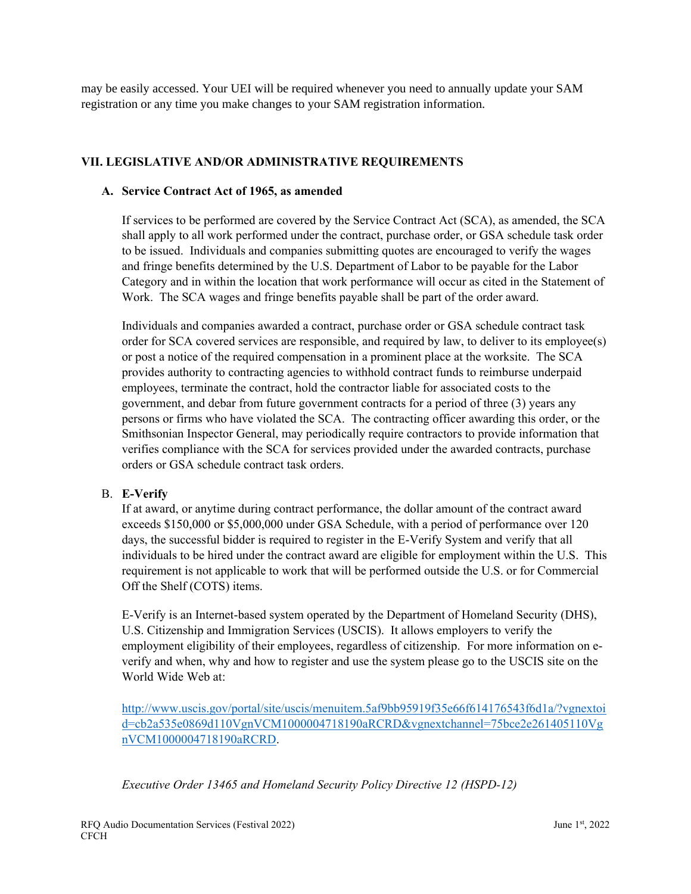may be easily accessed. Your UEI will be required whenever you need to annually update your SAM registration or any time you make changes to your SAM registration information.

#### **VII. LEGISLATIVE AND/OR ADMINISTRATIVE REQUIREMENTS**

#### **A. Service Contract Act of 1965, as amended**

If services to be performed are covered by the Service Contract Act (SCA), as amended, the SCA shall apply to all work performed under the contract, purchase order, or GSA schedule task order to be issued. Individuals and companies submitting quotes are encouraged to verify the wages and fringe benefits determined by the U.S. Department of Labor to be payable for the Labor Category and in within the location that work performance will occur as cited in the Statement of Work. The SCA wages and fringe benefits payable shall be part of the order award.

Individuals and companies awarded a contract, purchase order or GSA schedule contract task order for SCA covered services are responsible, and required by law, to deliver to its employee(s) or post a notice of the required compensation in a prominent place at the worksite. The SCA provides authority to contracting agencies to withhold contract funds to reimburse underpaid employees, terminate the contract, hold the contractor liable for associated costs to the government, and debar from future government contracts for a period of three (3) years any persons or firms who have violated the SCA. The contracting officer awarding this order, or the Smithsonian Inspector General, may periodically require contractors to provide information that verifies compliance with the SCA for services provided under the awarded contracts, purchase orders or GSA schedule contract task orders.

#### B. **E-Verify**

If at award, or anytime during contract performance, the dollar amount of the contract award exceeds \$150,000 or \$5,000,000 under GSA Schedule, with a period of performance over 120 days, the successful bidder is required to register in the E-Verify System and verify that all individuals to be hired under the contract award are eligible for employment within the U.S. This requirement is not applicable to work that will be performed outside the U.S. or for Commercial Off the Shelf (COTS) items.

E-Verify is an Internet-based system operated by the Department of Homeland Security (DHS), U.S. Citizenship and Immigration Services (USCIS). It allows employers to verify the employment eligibility of their employees, regardless of citizenship. For more information on everify and when, why and how to register and use the system please go to the USCIS site on the World Wide Web at:

[http://www.uscis.gov/portal/site/uscis/menuitem.5af9bb95919f35e66f614176543f6d1a/?vgnextoi](http://www.uscis.gov/portal/site/uscis/menuitem.5af9bb95919f35e66f614176543f6d1a/?vgnextoid=cb2a535e0869d110VgnVCM1000004718190aRCRD&vgnextchannel=75bce2e261405110VgnVCM1000004718190aRCRD) [d=cb2a535e0869d110VgnVCM1000004718190aRCRD&vgnextchannel=75bce2e261405110Vg](http://www.uscis.gov/portal/site/uscis/menuitem.5af9bb95919f35e66f614176543f6d1a/?vgnextoid=cb2a535e0869d110VgnVCM1000004718190aRCRD&vgnextchannel=75bce2e261405110VgnVCM1000004718190aRCRD) [nVCM1000004718190aRCRD.](http://www.uscis.gov/portal/site/uscis/menuitem.5af9bb95919f35e66f614176543f6d1a/?vgnextoid=cb2a535e0869d110VgnVCM1000004718190aRCRD&vgnextchannel=75bce2e261405110VgnVCM1000004718190aRCRD)

*Executive Order 13465 and Homeland Security Policy Directive 12 (HSPD-12)*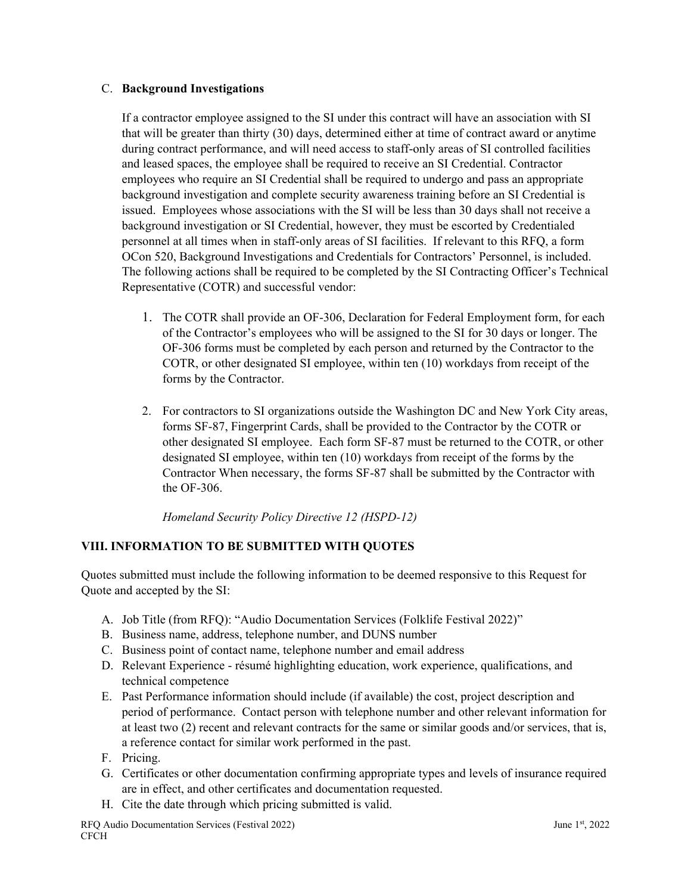#### C. **Background Investigations**

If a contractor employee assigned to the SI under this contract will have an association with SI that will be greater than thirty (30) days, determined either at time of contract award or anytime during contract performance, and will need access to staff-only areas of SI controlled facilities and leased spaces, the employee shall be required to receive an SI Credential. Contractor employees who require an SI Credential shall be required to undergo and pass an appropriate background investigation and complete security awareness training before an SI Credential is issued. Employees whose associations with the SI will be less than 30 days shall not receive a background investigation or SI Credential, however, they must be escorted by Credentialed personnel at all times when in staff-only areas of SI facilities. If relevant to this RFQ, a form OCon 520, Background Investigations and Credentials for Contractors' Personnel, is included. The following actions shall be required to be completed by the SI Contracting Officer's Technical Representative (COTR) and successful vendor:

- 1. The COTR shall provide an OF-306, Declaration for Federal Employment form, for each of the Contractor's employees who will be assigned to the SI for 30 days or longer. The OF-306 forms must be completed by each person and returned by the Contractor to the COTR, or other designated SI employee, within ten (10) workdays from receipt of the forms by the Contractor.
- 2. For contractors to SI organizations outside the Washington DC and New York City areas, forms SF-87, Fingerprint Cards, shall be provided to the Contractor by the COTR or other designated SI employee. Each form SF-87 must be returned to the COTR, or other designated SI employee, within ten (10) workdays from receipt of the forms by the Contractor When necessary, the forms SF-87 shall be submitted by the Contractor with the OF-306.

*Homeland Security Policy Directive 12 (HSPD-12)*

### **VIII. INFORMATION TO BE SUBMITTED WITH QUOTES**

Quotes submitted must include the following information to be deemed responsive to this Request for Quote and accepted by the SI:

- A. Job Title (from RFQ): "Audio Documentation Services (Folklife Festival 2022)"
- B. Business name, address, telephone number, and DUNS number
- C. Business point of contact name, telephone number and email address
- D. Relevant Experience résumé highlighting education, work experience, qualifications, and technical competence
- E. Past Performance information should include (if available) the cost, project description and period of performance. Contact person with telephone number and other relevant information for at least two (2) recent and relevant contracts for the same or similar goods and/or services, that is, a reference contact for similar work performed in the past.
- F. Pricing.
- G. Certificates or other documentation confirming appropriate types and levels of insurance required are in effect, and other certificates and documentation requested.
- H. Cite the date through which pricing submitted is valid.